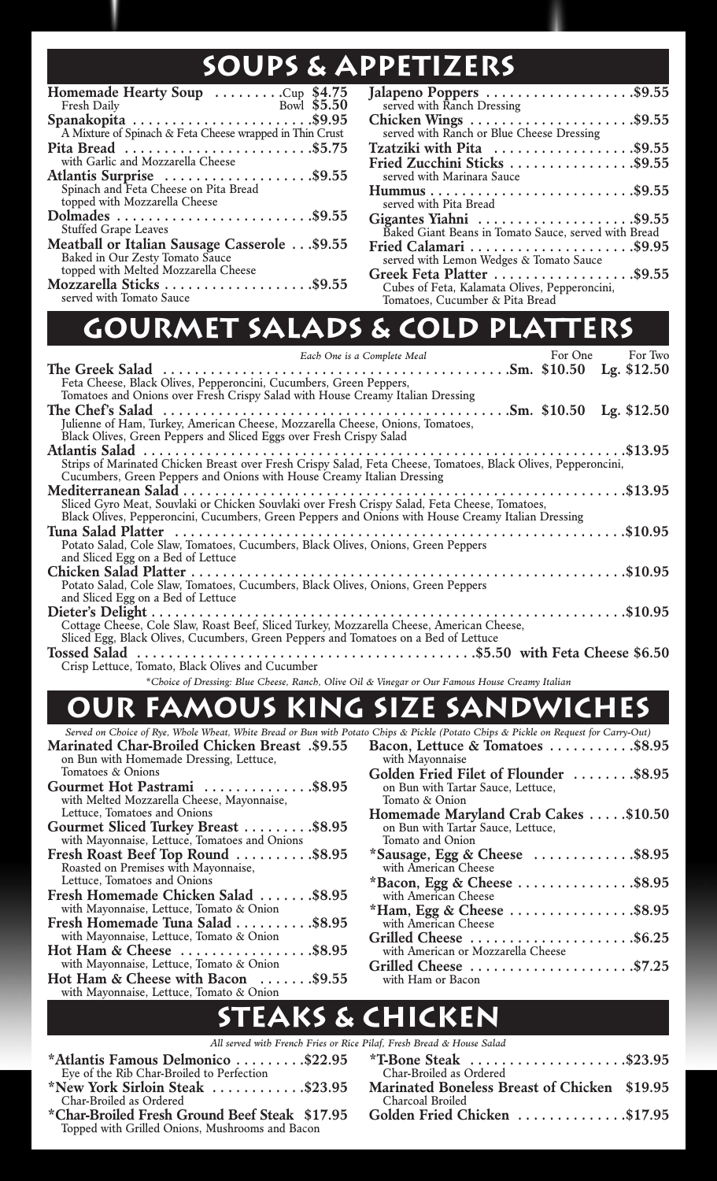## **SOUPS & APPETIZERS**

| Homemade Hearty Soup Cup \$4.75                                         |
|-------------------------------------------------------------------------|
| Bowl \$5.50<br>Fresh Daily                                              |
| Spanakopita<br>A Mixture of Spinach & Feta Cheese wrapped in Thin Crust |
|                                                                         |
| Pita Bread \$5.75                                                       |
| with Garlic and Mozzarella Cheese                                       |
| Atlantis Surprise \$9.55                                                |
| Spinach and Feta Cheese on Pita Bread                                   |
| topped with Mozzarella Cheese                                           |
|                                                                         |
| <b>Stuffed Grape Leaves</b>                                             |
| Meatball or Italian Sausage Casserole\$9.55                             |
| Baked in Our Zesty Tomato Sauce                                         |
| topped with Melted Mozzarella Cheese                                    |
| Mozzarella Sticks \$9.55<br>served with Tomato Sauce                    |
|                                                                         |

| Jalapeno Poppers \$9.55                                 |
|---------------------------------------------------------|
| served with Ranch Dressing                              |
|                                                         |
| served with Ranch or Blue Cheese Dressing               |
| Tzatziki with Pita $\dots\dots\dots\dots\dots$ . \$9.55 |
| Fried Zucchini Sticks \$9.55                            |
| served with Marinara Sauce                              |
|                                                         |
| served with Pita Bread                                  |
| Gigantes Yiahni \$9.55                                  |
| Baked Giant Beans in Tomato Sauce, served with Bread    |
| Fried Calamari \$9.95                                   |
| served with Lemon Wedges & Tomato Sauce                 |
| Greek Feta Platter \$9.55                               |
| Cubes of Feta, Kalamata Olives, Pepperoncini,           |
| Tomatoes, Cucumber & Pita Bread                         |

# **Gourmet Salads & Cold Platters**

| Each One is a Complete Meal                                                                                    | For One | For Two |
|----------------------------------------------------------------------------------------------------------------|---------|---------|
|                                                                                                                |         |         |
| Feta Cheese, Black Olives, Pepperoncini, Cucumbers, Green Peppers,                                             |         |         |
| Tomatoes and Onions over Fresh Crispy Salad with House Creamy Italian Dressing                                 |         |         |
|                                                                                                                |         |         |
| Julienne of Ham, Turkey, American Cheese, Mozzarella Cheese, Onions, Tomatoes,                                 |         |         |
| Black Olives, Green Peppers and Sliced Eggs over Fresh Crispy Salad                                            |         |         |
|                                                                                                                |         |         |
| Strips of Marinated Chicken Breast over Fresh Crispy Salad, Feta Cheese, Tomatoes, Black Olives, Pepperoncini, |         |         |
| Cucumbers, Green Peppers and Onions with House Creamy Italian Dressing                                         |         |         |
|                                                                                                                |         |         |
| Sliced Gyro Meat, Souvlaki or Chicken Souvlaki over Fresh Crispy Salad, Feta Cheese, Tomatoes,                 |         |         |
| Black Olives, Pepperoncini, Cucumbers, Green Peppers and Onions with House Creamy Italian Dressing             |         |         |
|                                                                                                                |         |         |
| Potato Salad, Cole Slaw, Tomatoes, Cucumbers, Black Olives, Onions, Green Peppers                              |         |         |
| and Sliced Egg on a Bed of Lettuce                                                                             |         |         |
|                                                                                                                |         |         |
| Potato Salad, Cole Slaw, Tomatoes, Cucumbers, Black Olives, Onions, Green Peppers                              |         |         |
| and Sliced Egg on a Bed of Lettuce                                                                             |         |         |
|                                                                                                                |         |         |
| Cottage Cheese, Cole Slaw, Roast Beef, Sliced Turkey, Mozzarella Cheese, American Cheese,                      |         |         |
| Sliced Egg, Black Olives, Cucumbers, Green Peppers and Tomatoes on a Bed of Lettuce                            |         |         |
|                                                                                                                |         |         |

Crisp Lettuce, Tomato, Black Olives and Cucumber

*\*Choice of Dressing: Blue Cheese, Ranch, Olive Oil & Vinegar or Our Famous House Creamy Italian*

## **Our Famous King Size sandwiches**

| Served on Choice of Rye, Whole Wheat, White Bread or Bun with Potato Chips & Pickle (Potato Chips & Pickle on Request for Carry-Out) |                                                            |
|--------------------------------------------------------------------------------------------------------------------------------------|------------------------------------------------------------|
| <b>Marinated Char-Broiled Chicken Breast .\$9.55</b>                                                                                 | Bacon, Lettuce & Tomatoes \$8.95                           |
| on Bun with Homemade Dressing, Lettuce,                                                                                              | with Mayonnaise                                            |
| Tomatoes & Onions                                                                                                                    | Golden Fried Filet of Flounder \$8.95                      |
| Gourmet Hot Pastrami \$8.95                                                                                                          | on Bun with Tartar Sauce, Lettuce,                         |
| with Melted Mozzarella Cheese, Mayonnaise,                                                                                           | Tomato & Onion                                             |
| Lettuce, Tomatoes and Onions                                                                                                         | Homemade Maryland Crab Cakes \$10.50                       |
| Gourmet Sliced Turkey Breast \$8.95                                                                                                  | on Bun with Tartar Sauce, Lettuce,                         |
| with Mayonnaise, Lettuce, Tomatoes and Onions                                                                                        | Tomato and Onion                                           |
| Fresh Roast Beef Top Round \$8.95                                                                                                    | $*$ Sausage, Egg & Cheese $\dots \dots \dots \dots$ \$8.95 |
| Roasted on Premises with Mayonnaise,                                                                                                 | with American Cheese                                       |
| Lettuce, Tomatoes and Onions                                                                                                         | *Bacon, Egg & Cheese \$8.95                                |
| Fresh Homemade Chicken Salad \$8.95                                                                                                  | with American Cheese                                       |
| with Mayonnaise, Lettuce, Tomato & Onion                                                                                             | $*$ Ham, Egg & Cheese $\dots\dots\dots\dots\dots$ . \$8.95 |
| Fresh Homemade Tuna Salad \$8.95                                                                                                     | with American Cheese                                       |
| with Mayonnaise, Lettuce, Tomato & Onion                                                                                             | Grilled Cheese \$6.25                                      |
| Hot Ham & Cheese \$8.95                                                                                                              | with American or Mozzarella Cheese                         |
| with Mayonnaise, Lettuce, Tomato & Onion                                                                                             | Grilled Cheese \$7.25                                      |
| Hot Ham & Cheese with Bacon \$9.55                                                                                                   | with Ham or Bacon                                          |
| with Mayonnaise, Lettuce, Tomato & Onion                                                                                             |                                                            |
|                                                                                                                                      |                                                            |

## **Steaks & Chicken**

|                                                        | All served with French Fries or Rice Pilaf, Fresh Bread & House Salad |
|--------------------------------------------------------|-----------------------------------------------------------------------|
| *Atlantis Famous Delmonico \$22.95                     | $*$ T-Bone Steak \$23.95                                              |
| Eye of the Rib Char-Broiled to Perfection              | Char-Broiled as Ordered                                               |
| *New York Sirloin Steak $\dots\dots\dots\dots$ \$23.95 | Marinated Boneless Breast of Chicken \$19.95                          |
| Char-Broiled as Ordered                                | Charcoal Broiled                                                      |
| *Char-Broiled Fresh Ground Beef Steak \$17.95          | Golden Fried Chicken \$17.95                                          |
| Topped with Grilled Onions, Mushrooms and Bacon        |                                                                       |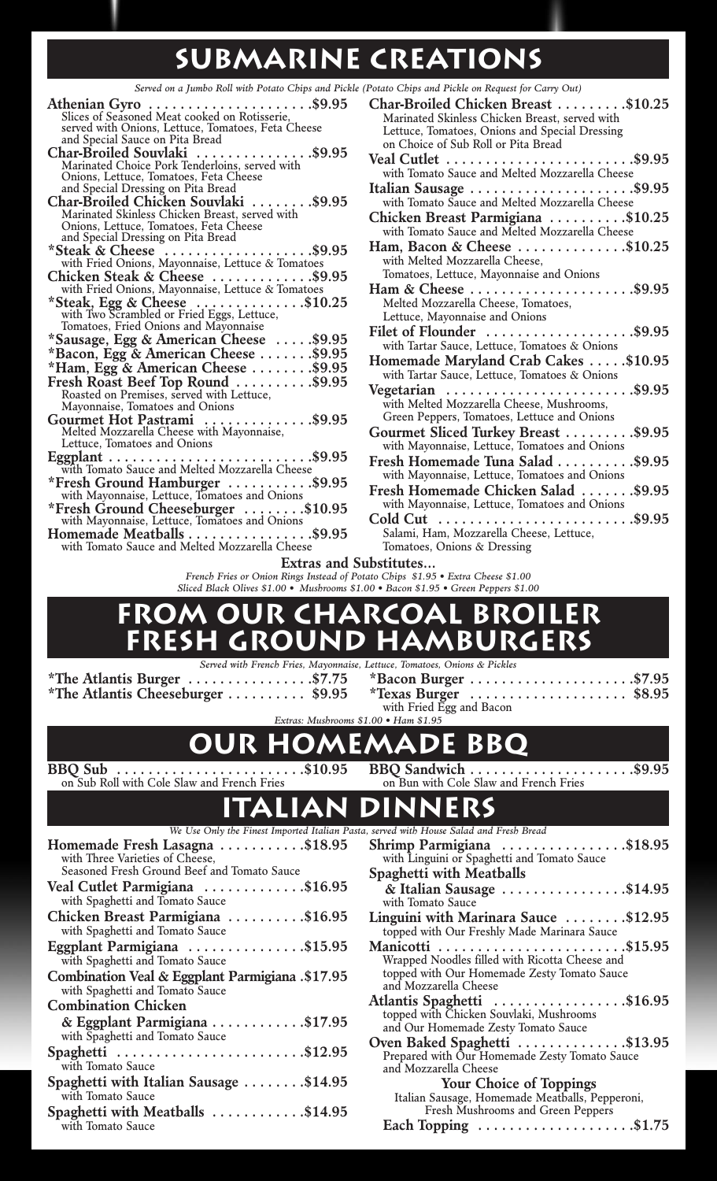## **Submarine Creations**

Served on a Jumbo Roll with Potato Chips and Pickle (Potato Chips and Pickle on Request for Carry Out)

| Slices of Seasoned Meat cooked on Rotisserie,                                      |
|------------------------------------------------------------------------------------|
| served with Onions, Lettuce, Tomatoes, Feta Cheese                                 |
| and Special Sauce on Pita Bread                                                    |
| $\dots$ \$9.95<br>Char-Broiled Souvlaki<br>.                                       |
| Marinated Choice Pork Tenderloins, served with                                     |
| Onions, Lettuce, Tomatoes, Feta Cheese                                             |
| and Special Dressing on Pita Bread                                                 |
| $\ldots \ldots$ . \$9.95<br>Char-Broiled Chicken Souvlaki                          |
| Marinated Skinless Chicken Breast, served with                                     |
| Onions, Lettuce, Tomatoes, Feta Cheese                                             |
| and Special Dressing on Pita Bread                                                 |
| *Steak & Cheese \$9.95<br>with Fried Onions, Mayonnaise, Lettuce & Tomatoes        |
|                                                                                    |
| Chicken Steak & Cheese \$9.95<br>with Fried Onions, Mayonnaise, Lettuce & Tomatoes |
|                                                                                    |
| *Steak, Egg & Cheese \$10.25<br>with Two Scrambled or Fried Eggs, Lettuce,         |
|                                                                                    |
| Tomatoes, Fried Onions and Mayonnaise                                              |
| *Sausage, Egg & American Cheese  \$9.95                                            |
| *Bacon, Egg & American Cheese \$9.95<br>*Ham, Egg & American Cheese \$9.95         |
|                                                                                    |
| Fresh Roast Beef Top Round \$9.95                                                  |
| Roasted on Premises, served with Lettuce,                                          |
| Mayonnaise, Tomatoes and Onions                                                    |
| <b>Gourmet Hot Pastrami</b> \$9.95<br>Melted Mozzarella Cheese with Mayonnaise,    |
|                                                                                    |
| Lettuce, Tomatoes and Onions                                                       |
| $\ldots \ldots \ldots$ \$9.95                                                      |
|                                                                                    |
| *Fresh Ground Hamburger \$9.95                                                     |
| with Mayonnaise, Lettuce, Tomatoes and Onions                                      |
| *Fresh Ground Cheeseburger  \$10.95                                                |
| with Mayonnaise, Lettuce, Tomatoes and Onions                                      |
| Homemade Meatballs \$9.95                                                          |
| with Tomato Sauce and Melted Mozzarella Cheese                                     |
| Extras and                                                                         |
| French Fries or Onion Rings Instead of                                             |
|                                                                                    |

| Char-Broiled Chicken Breast \$10.25                                         |
|-----------------------------------------------------------------------------|
| Marinated Skinless Chicken Breast, served with                              |
| Lettuce, Tomatoes, Onions and Special Dressing                              |
| on Choice of Sub Roll or Pita Bread                                         |
|                                                                             |
| with Tomato Sauce and Melted Mozzarella Cheese                              |
| Italian Sausage \$9.95                                                      |
| with Tomato Sauce and Melted Mozzarella Cheese                              |
| Chicken Breast Parmigiana \$10.25                                           |
| with Tomato Sauce and Melted Mozzarella Cheese                              |
| Ham, Bacon & Cheese $\dots\dots\dots\dots$ \$10.25                          |
| with Melted Mozzarella Cheese,                                              |
| Tomatoes, Lettuce, Mayonnaise and Onions                                    |
| Ham & Cheese \$9.95                                                         |
| Melted Mozzarella Cheese, Tomatoes,                                         |
| Lettuce, Mayonnaise and Onions                                              |
| Filet of Flounder \$9.95                                                    |
| with Tartar Sauce, Lettuce, Tomatoes & Onions                               |
| Homemade Maryland Crab Cakes \$10.95                                        |
| with Tartar Sauce, Lettuce, Tomatoes & Onions                               |
| Vegetarian $\ldots \ldots \ldots \ldots \ldots \ldots \ldots \ldots$ \$9.95 |
| with Melted Mozzarella Cheese, Mushrooms,                                   |
| Green Peppers, Tomatoes, Lettuce and Onions                                 |
| Gourmet Sliced Turkey Breast \$9.95                                         |
| with Mayonnaise, Lettuce, Tomatoes and Onions                               |
| Fresh Homemade Tuna Salad \$9.95                                            |
| with Mayonnaise, Lettuce, Tomatoes and Onions                               |
| Fresh Homemade Chicken Salad \$9.95                                         |
| with Mayonnaise, Lettuce, Tomatoes and Onions                               |
| Cold Cut<br>. \$9.95                                                        |
| Salami, Ham, Mozzarella Cheese, Lettuce,                                    |
|                                                                             |

Tomatoes, Onions & Dressing

 $Substitutes...$ 

*French Fries or Onion Rings Instead of Potato Chips \$1.95 • Extra Cheese \$1.00 Sliced Black Olives \$1.00 • Mushrooms \$1.00 • Bacon \$1.95 • Green Peppers \$1.00*

#### **From Our Charcoal Broiler Fresh Ground Hamburgers**

**\*The Atlantis Burger . . . . . . . . . . . . . . . .\$7.75 \*The Atlantis Cheeseburger . . . . . . . . . . \$9.95**

*Served with French Fries, Mayonnaise, Lettuce, Tomatoes, Onions & Pickles*

| $*$ Bacon Burger \$7.95                               |  |  |  |
|-------------------------------------------------------|--|--|--|
| *Texas Burger $\dots\dots\dots\dots\dots\dots$ \$8.95 |  |  |  |
| with Fried Egg and Bacon                              |  |  |  |
| $-100.11$ $-11$ $-107$                                |  |  |  |

*Extras: Mushrooms \$1.00 • Ham \$1.95*

### **Our Homemade BBQ**

**BBQ Sub . . . . . . . . . . . . . . . . . . . . . . . .\$10.95** on Sub Roll with Cole Slaw and French Fries

**BBQ Sandwich . . . . . . . . . . . . . . . . . . . . .\$9.95** on Bun with Cole Slaw and French Fries

# **Italian Dinners**

| We Use Only the Finest Imported Italian Pasta, served with House Salad and Fresh Bread |                                                                 |
|----------------------------------------------------------------------------------------|-----------------------------------------------------------------|
| asagna \$18.95                                                                         | Shrimp Parmigiana \$18.95                                       |
| f Cheese,                                                                              | with Linguini or Spaghetti and Tomato Sauce                     |
| nd Beef and Tomato Sauce                                                               | Spaghetti with Meatballs                                        |
| iana \$16.95                                                                           | $\&$ Italian Sausage \$14.95                                    |
| mato Sauce                                                                             | with Tomato Sauce                                               |
| migiana $\ldots \ldots \ldots$ \$16.95                                                 | Linguini with Marinara Sauce \$12.95                            |
| mato Sauce                                                                             | topped with Our Freshly Made Marinara Sauce                     |
| a\$15.95                                                                               |                                                                 |
| mato Sauce                                                                             | Wrapped Noodles filled with Ricotta Cheese and                  |
| <b>Eggplant Parmigiana .\$17.95</b>                                                    | topped with Our Homemade Zesty Tomato Sauce                     |
| mato Sauce                                                                             | and Mozzarella Cheese                                           |
| en                                                                                     | Atlantis Spaghetti \$16.95                                      |
| igiana \$17.95                                                                         | topped with Chicken Souvlaki, Mushrooms                         |
| mato Sauce                                                                             | and Our Homemade Zesty Tomato Sauce                             |
|                                                                                        | Oven Baked Spaghetti \$13.95                                    |
| . \$12.95                                                                              | Prepared with Our Homemade Zesty Tomato Sauce                   |
|                                                                                        | and Mozzarella Cheese                                           |
| an Sausage \$14.95                                                                     | <b>Your Choice of Toppings</b>                                  |
|                                                                                        | Italian Sausage, Homemade Meatballs, Pepperoni,                 |
| tballs $\dots\dots\dots\dots$ \$14.95                                                  | Fresh Mushrooms and Green Peppers                               |
|                                                                                        | Each Topping $\ldots \ldots \ldots \ldots \ldots \ldots$ \$1.75 |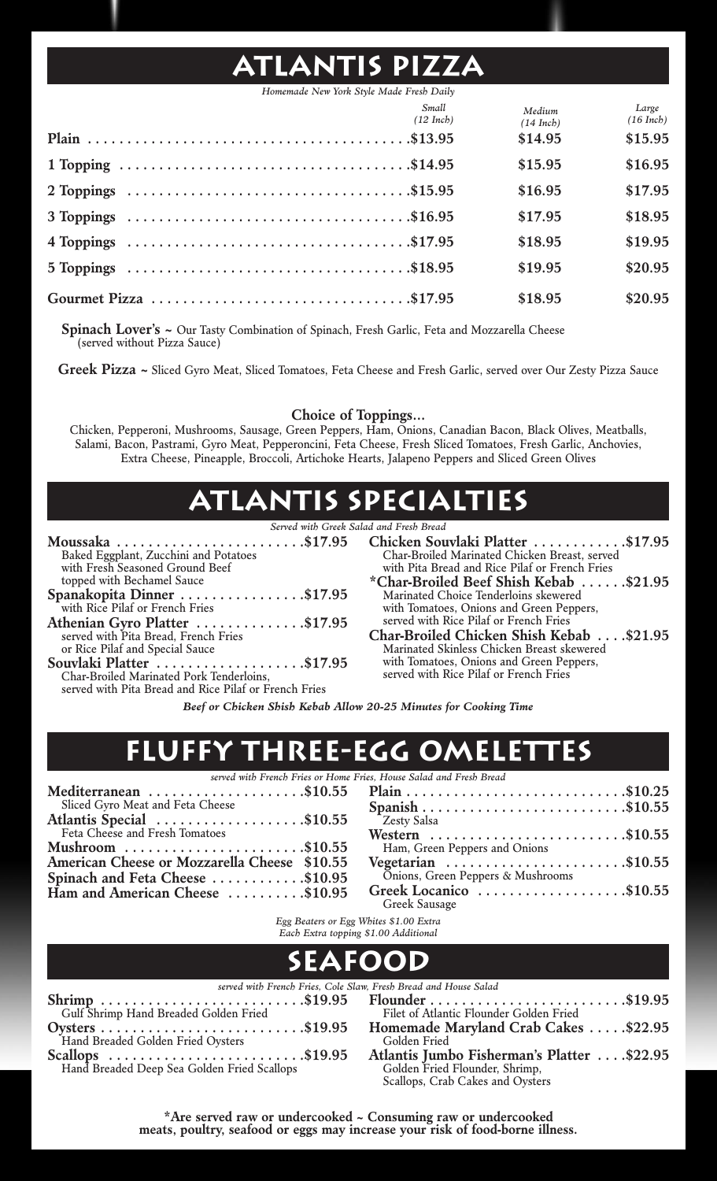## **Atlantis Pizza**

*Homemade New York Style Made Fresh Daily*

| Small<br>$(12$ Inch) | Medium<br>$(14$ Inch) | Large<br>$(16$ Inch) |
|----------------------|-----------------------|----------------------|
|                      | \$14.95               | \$15.95              |
|                      | \$15.95               | \$16.95              |
|                      | \$16.95               | \$17.95              |
|                      | \$17.95               | \$18.95              |
|                      | \$18.95               | \$19.95              |
|                      | \$19.95               | \$20.95              |
|                      | \$18.95               | \$20.95              |

**Spinach Lover's ~** Our Tasty Combination of Spinach, Fresh Garlic, Feta and Mozzarella Cheese (served without Pizza Sauce)

**Greek Pizza ~** Sliced Gyro Meat, Sliced Tomatoes, Feta Cheese and Fresh Garlic, served over Our Zesty Pizza Sauce

#### **Choice of Toppings…**

Chicken, Pepperoni, Mushrooms, Sausage, Green Peppers, Ham, Onions, Canadian Bacon, Black Olives, Meatballs, Salami, Bacon, Pastrami, Gyro Meat, Pepperoncini, Feta Cheese, Fresh Sliced Tomatoes, Fresh Garlic, Anchovies, Extra Cheese, Pineapple, Broccoli, Artichoke Hearts, Jalapeno Peppers and Sliced Green Olives

## **Atlantis Specialties**

|                                                                       | Served with Greek Salad and Fresh Bread |                     |
|-----------------------------------------------------------------------|-----------------------------------------|---------------------|
| Moussaka \$17.95 Chicken Sou                                          |                                         |                     |
| Baked Eggplant, Zucchini and Potatoes                                 |                                         | Char-Broiled        |
| with Fresh Seasoned Ground Beef                                       |                                         | with Pita Bre       |
| topped with Bechamel Sauce                                            |                                         | *Char-Broile        |
| Spanakopita Dinner \$17.95                                            |                                         | Marinated C         |
| with Rice Pilaf or French Fries                                       |                                         | with Tomato         |
|                                                                       |                                         | served with I       |
| Athenian Gyro Platter \$17.95<br>served with Pita Bread, French Fries |                                         | <b>Char-Broiled</b> |
| or Rice Pilaf and Special Sauce                                       |                                         | Marinated Sl        |
| Souvlaki Platter \$17.95                                              |                                         | with Tomato         |
| Char-Broiled Marinated Pork Tenderloins,                              |                                         | served with I       |
|                                                                       |                                         |                     |

served with Pita Bread and Rice Pilaf or French Fries

- **Chicken Souvlaki Platter . . . . . . . . . . . .\$17.95** Char-Broiled Marinated Chicken Breast, served with Pita Bread and Rice Pilaf or French Fries
- **\*Char-Broiled Beef Shish Kebab . . . . . .\$21.95** Marinated Choice Tenderloins skewered with Tomatoes, Onions and Green Peppers, served with Rice Pilaf or French Fries
- **Char-Broiled Chicken Shish Kebab . . . .\$21.95** Marinated Skinless Chicken Breast skewered with Tomatoes, Onions and Green Peppers, served with Rice Pilaf or French Fries

*Beef or Chicken Shish Kebab Allow 20-25 Minutes for Cooking Time*

### **REE-EGG OMELETTES**

*served with French Fries or Home Fries, House Salad and Fresh Bread*

| Mediterranean $\ldots \ldots \ldots \ldots \ldots$ . \$10.55 |  |
|--------------------------------------------------------------|--|
| Sliced Gyro Meat and Feta Cheese                             |  |
| Atlantis Special \$10.55<br>Feta Cheese and Fresh Tomatoes   |  |
|                                                              |  |
| Mushroom $\dots\dots\dots\dots\dots\dots\dots$ . \$10.55     |  |
| American Cheese or Mozzarella Cheese \$10.55                 |  |
| Spinach and Feta Cheese \$10.95                              |  |
| Ham and American Cheese \$10.95                              |  |
|                                                              |  |

| s. House Saiaa ana Fresh Breaa                          |  |
|---------------------------------------------------------|--|
|                                                         |  |
|                                                         |  |
| <sup>2</sup> Zesty Salsa                                |  |
| Western \$10.55                                         |  |
| Ham, Green Peppers and Onions                           |  |
| Vegetarian \$10.55<br>Onions, Green Peppers & Mushrooms |  |
|                                                         |  |
| Greek Locanico \$10.55                                  |  |
| Greek Sausage                                           |  |

*Egg Beaters or Egg Whites \$1.00 Extra Each Extra topping \$1.00 Additional*

| $E$ <i>and <math>E</math></i> $\sim$ $E$ $\sim$ $E$ $\sim$ $E$ $\sim$ $E$ $\sim$ $E$ $\sim$ $E$ $\sim$ $E$ $\sim$ $E$ $\sim$ $E$ $\sim$ $E$ $\sim$ $E$ $\sim$ $E$ $\sim$ $E$ $\sim$ $E$ $\sim$ $E$ $\sim$ $E$ $\sim$ $E$ $\sim$ $E$ $\sim$ $E$ $\sim$ $E$ $\sim$ $E$ $\sim$ $E$ $\sim$ $E$ |  |  |
|--------------------------------------------------------------------------------------------------------------------------------------------------------------------------------------------------------------------------------------------------------------------------------------------|--|--|
|                                                                                                                                                                                                                                                                                            |  |  |

|                                                                    | served with French Fries, Cole Slaw, Fresh Bread and House Salad |
|--------------------------------------------------------------------|------------------------------------------------------------------|
|                                                                    |                                                                  |
| Gulf Shrimp Hand Breaded Golden Fried                              | Filet of Atlantic Flounder Golden Fried                          |
|                                                                    | Homemade Maryland Crab Cakes \$22.95                             |
| Hand Breaded Golden Fried Oysters                                  | Golden Fried                                                     |
| $Scallops \dots \dots \dots \dots \dots \dots \dots \dots \dots \$ | Atlantis Jumbo Fisherman's Platter \$22.95                       |
| Hand Breaded Deep Sea Golden Fried Scallops                        | Golden Fried Flounder, Shrimp,                                   |
|                                                                    | Scallops, Crab Cakes and Oysters                                 |

**\*Are served raw or undercooked ~ Consuming raw or undercooked meats, poultry, seafood or eggs may increase your risk of food-borne illness.**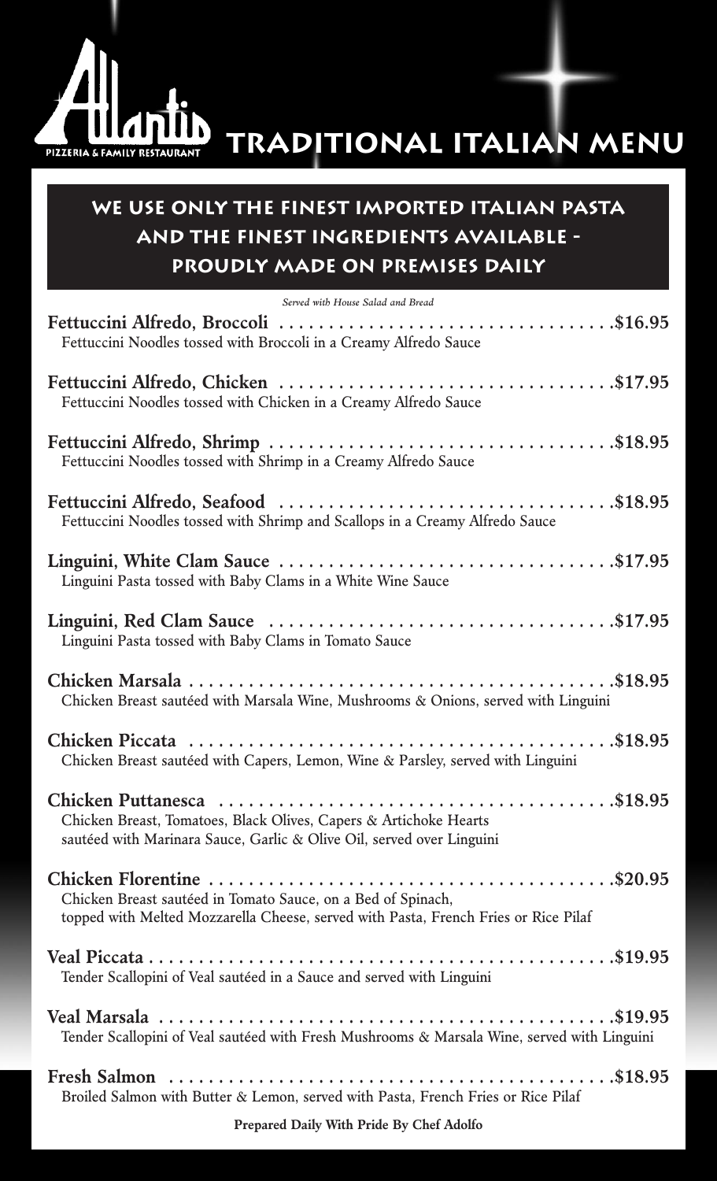

# **Traditional Italian Menu**

### **We Use Only the finest Imported Italian Pasta and The Finest Ingredients Available - Proudly Made on Premises Daily**

| Served with House Salad and Bread                                                                                                                   |
|-----------------------------------------------------------------------------------------------------------------------------------------------------|
| Fettuccini Noodles tossed with Broccoli in a Creamy Alfredo Sauce                                                                                   |
| Fettuccini Noodles tossed with Chicken in a Creamy Alfredo Sauce                                                                                    |
| Fettuccini Noodles tossed with Shrimp in a Creamy Alfredo Sauce                                                                                     |
| Fettuccini Noodles tossed with Shrimp and Scallops in a Creamy Alfredo Sauce                                                                        |
| Linguini Pasta tossed with Baby Clams in a White Wine Sauce                                                                                         |
| Linguini Pasta tossed with Baby Clams in Tomato Sauce                                                                                               |
| Chicken Breast sautéed with Marsala Wine, Mushrooms & Onions, served with Linguini                                                                  |
| Chicken Breast sautéed with Capers, Lemon, Wine & Parsley, served with Linguini                                                                     |
| Chicken Breast, Tomatoes, Black Olives, Capers & Artichoke Hearts<br>sautéed with Marinara Sauce, Garlic & Olive Oil, served over Linguini          |
| Chicken Breast sautéed in Tomato Sauce, on a Bed of Spinach,<br>topped with Melted Mozzarella Cheese, served with Pasta, French Fries or Rice Pilaf |
| Tender Scallopini of Veal sautéed in a Sauce and served with Linguini                                                                               |
| Tender Scallopini of Veal sautéed with Fresh Mushrooms & Marsala Wine, served with Linguini                                                         |
| Broiled Salmon with Butter & Lemon, served with Pasta, French Fries or Rice Pilaf                                                                   |

**Prepared Daily With Pride By Chef Adolfo**